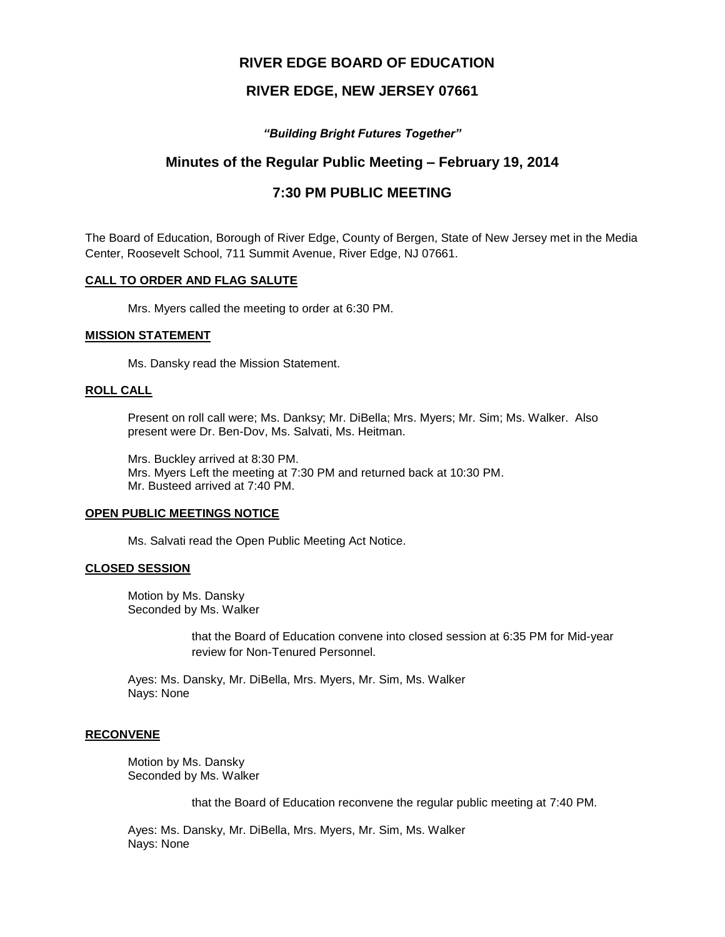# **RIVER EDGE BOARD OF EDUCATION**

## **RIVER EDGE, NEW JERSEY 07661**

*"Building Bright Futures Together"*

# **Minutes of the Regular Public Meeting – February 19, 2014**

# **7:30 PM PUBLIC MEETING**

The Board of Education, Borough of River Edge, County of Bergen, State of New Jersey met in the Media Center, Roosevelt School, 711 Summit Avenue, River Edge, NJ 07661.

### **CALL TO ORDER AND FLAG SALUTE**

Mrs. Myers called the meeting to order at 6:30 PM.

#### **MISSION STATEMENT**

Ms. Dansky read the Mission Statement.

#### **ROLL CALL**

Present on roll call were; Ms. Danksy; Mr. DiBella; Mrs. Myers; Mr. Sim; Ms. Walker. Also present were Dr. Ben-Dov, Ms. Salvati, Ms. Heitman.

Mrs. Buckley arrived at 8:30 PM. Mrs. Myers Left the meeting at 7:30 PM and returned back at 10:30 PM. Mr. Busteed arrived at 7:40 PM.

#### **OPEN PUBLIC MEETINGS NOTICE**

Ms. Salvati read the Open Public Meeting Act Notice.

#### **CLOSED SESSION**

Motion by Ms. Dansky Seconded by Ms. Walker

> that the Board of Education convene into closed session at 6:35 PM for Mid-year review for Non-Tenured Personnel.

Ayes: Ms. Dansky, Mr. DiBella, Mrs. Myers, Mr. Sim, Ms. Walker Nays: None

#### **RECONVENE**

Motion by Ms. Dansky Seconded by Ms. Walker

that the Board of Education reconvene the regular public meeting at 7:40 PM.

Ayes: Ms. Dansky, Mr. DiBella, Mrs. Myers, Mr. Sim, Ms. Walker Nays: None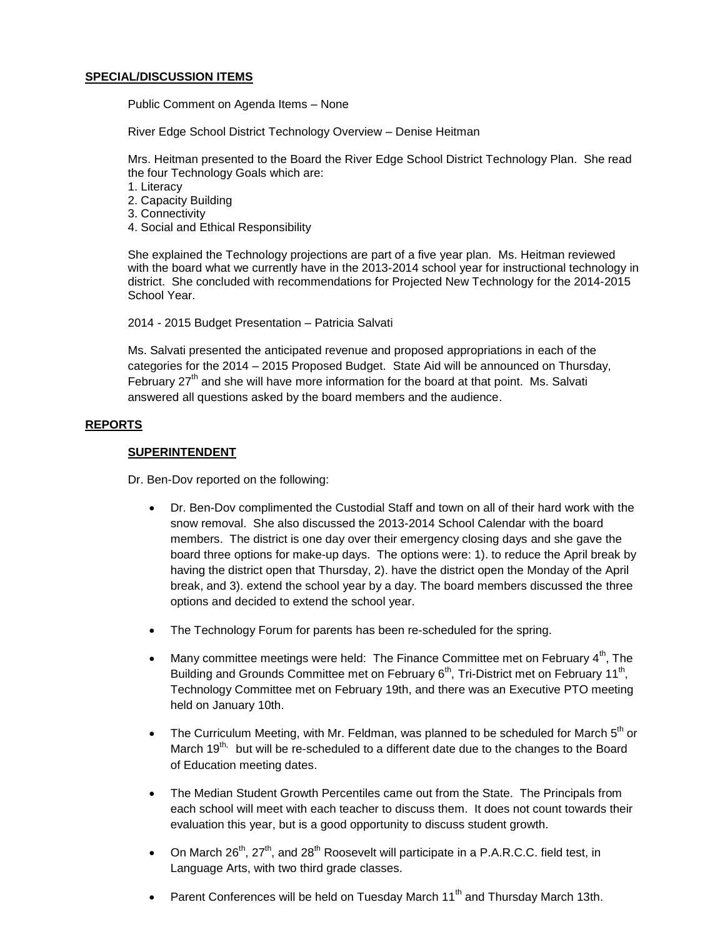#### **SPECIAL/DISCUSSION ITEMS**

Public Comment on Agenda Items – None

River Edge School District Technology Overview – Denise Heitman

Mrs. Heitman presented to the Board the River Edge School District Technology Plan. She read the four Technology Goals which are:

- 1. Literacy
- 2. Capacity Building
- 3. Connectivity
- 4. Social and Ethical Responsibility

She explained the Technology projections are part of a five year plan. Ms. Heitman reviewed with the board what we currently have in the 2013-2014 school year for instructional technology in district. She concluded with recommendations for Projected New Technology for the 2014-2015 School Year.

2014 - 2015 Budget Presentation – Patricia Salvati

Ms. Salvati presented the anticipated revenue and proposed appropriations in each of the categories for the 2014 – 2015 Proposed Budget. State Aid will be announced on Thursday, February  $27<sup>th</sup>$  and she will have more information for the board at that point. Ms. Salvati answered all questions asked by the board members and the audience.

## **REPORTS**

### **SUPERINTENDENT**

Dr. Ben-Dov reported on the following:

- Dr. Ben-Dov complimented the Custodial Staff and town on all of their hard work with the snow removal. She also discussed the 2013-2014 School Calendar with the board members. The district is one day over their emergency closing days and she gave the board three options for make-up days. The options were: 1). to reduce the April break by having the district open that Thursday, 2). have the district open the Monday of the April break, and 3). extend the school year by a day. The board members discussed the three options and decided to extend the school year.
- The Technology Forum for parents has been re-scheduled for the spring.
- Many committee meetings were held: The Finance Committee met on February  $4<sup>th</sup>$ , The Building and Grounds Committee met on February 6<sup>th</sup>, Tri-District met on February 11<sup>th</sup>, Technology Committee met on February 19th, and there was an Executive PTO meeting held on January 10th.
- The Curriculum Meeting, with Mr. Feldman, was planned to be scheduled for March  $5<sup>th</sup>$  or March  $19^{th}$ , but will be re-scheduled to a different date due to the changes to the Board of Education meeting dates.
- The Median Student Growth Percentiles came out from the State. The Principals from each school will meet with each teacher to discuss them. It does not count towards their evaluation this year, but is a good opportunity to discuss student growth.
- On March  $26^{th}$ ,  $27^{th}$ , and  $28^{th}$  Roosevelt will participate in a P.A.R.C.C. field test, in Language Arts, with two third grade classes.
- Parent Conferences will be held on Tuesday March  $11<sup>th</sup>$  and Thursday March 13th.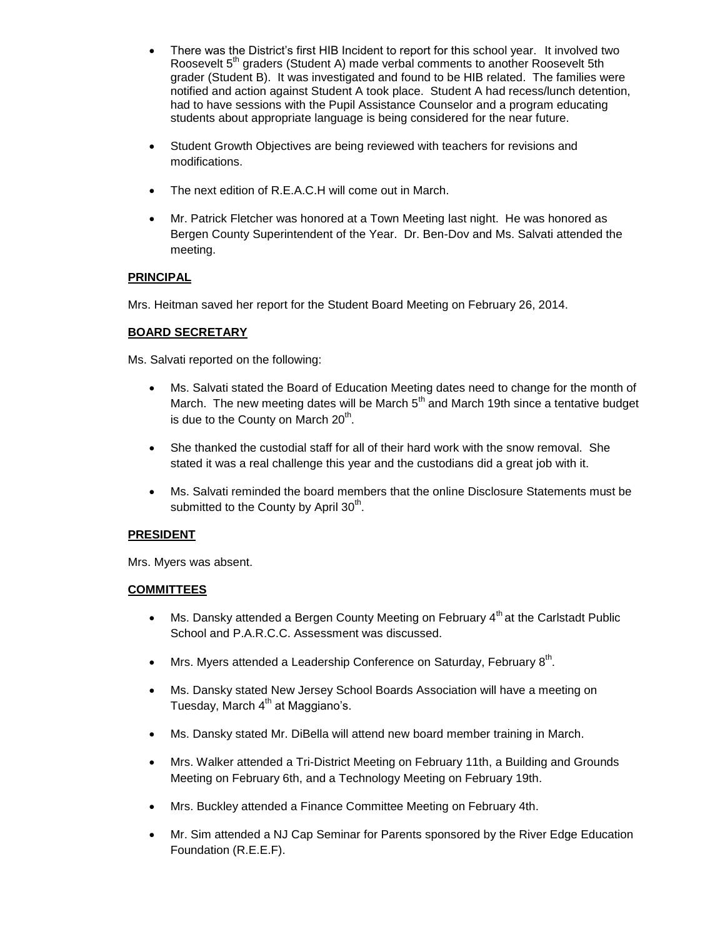- There was the District's first HIB Incident to report for this school year. It involved two Roosevelt 5<sup>th</sup> graders (Student A) made verbal comments to another Roosevelt 5th grader (Student B). It was investigated and found to be HIB related. The families were notified and action against Student A took place. Student A had recess/lunch detention, had to have sessions with the Pupil Assistance Counselor and a program educating students about appropriate language is being considered for the near future.
- Student Growth Objectives are being reviewed with teachers for revisions and modifications.
- The next edition of R.E.A.C.H will come out in March.
- Mr. Patrick Fletcher was honored at a Town Meeting last night. He was honored as Bergen County Superintendent of the Year. Dr. Ben-Dov and Ms. Salvati attended the meeting.

## **PRINCIPAL**

Mrs. Heitman saved her report for the Student Board Meeting on February 26, 2014.

## **BOARD SECRETARY**

Ms. Salvati reported on the following:

- Ms. Salvati stated the Board of Education Meeting dates need to change for the month of March. The new meeting dates will be March  $5<sup>th</sup>$  and March 19th since a tentative budget is due to the County on March 20<sup>th</sup>.
- She thanked the custodial staff for all of their hard work with the snow removal. She stated it was a real challenge this year and the custodians did a great job with it.
- Ms. Salvati reminded the board members that the online Disclosure Statements must be submitted to the County by April 30<sup>th</sup>.

## **PRESIDENT**

Mrs. Myers was absent.

## **COMMITTEES**

- $\bullet$  Ms. Dansky attended a Bergen County Meeting on February 4<sup>th</sup> at the Carlstadt Public School and P.A.R.C.C. Assessment was discussed.
- Mrs. Myers attended a Leadership Conference on Saturday, February  $8<sup>th</sup>$ .
- Ms. Dansky stated New Jersey School Boards Association will have a meeting on Tuesday, March  $4<sup>th</sup>$  at Maggiano's.
- Ms. Dansky stated Mr. DiBella will attend new board member training in March.
- Mrs. Walker attended a Tri-District Meeting on February 11th, a Building and Grounds Meeting on February 6th, and a Technology Meeting on February 19th.
- Mrs. Buckley attended a Finance Committee Meeting on February 4th.
- Mr. Sim attended a NJ Cap Seminar for Parents sponsored by the River Edge Education Foundation (R.E.E.F).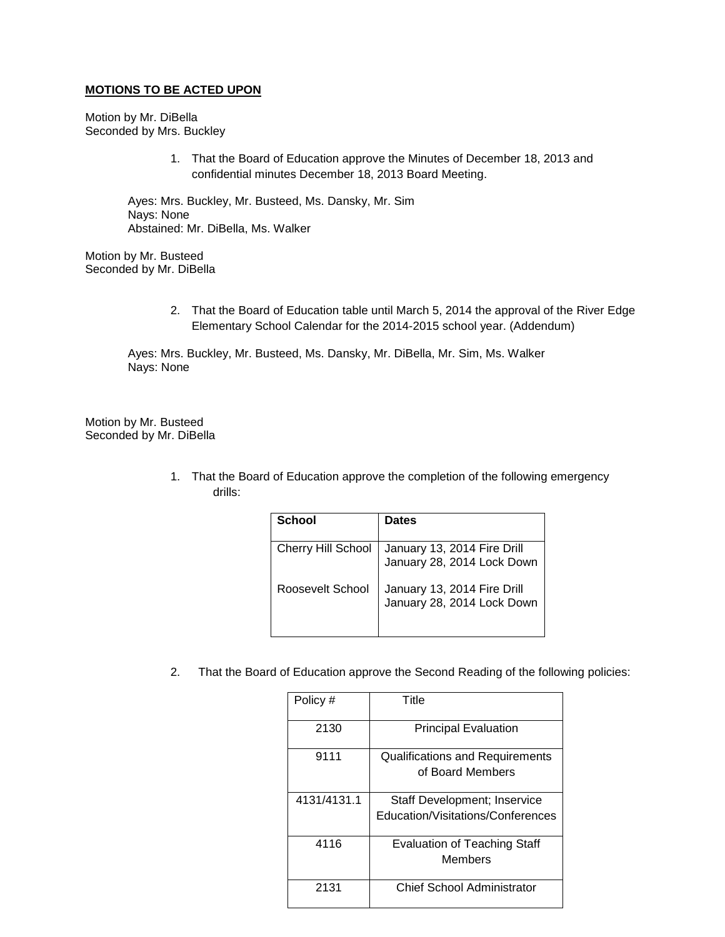#### **MOTIONS TO BE ACTED UPON**

Motion by Mr. DiBella Seconded by Mrs. Buckley

> 1. That the Board of Education approve the Minutes of December 18, 2013 and confidential minutes December 18, 2013 Board Meeting.

Ayes: Mrs. Buckley, Mr. Busteed, Ms. Dansky, Mr. Sim Nays: None Abstained: Mr. DiBella, Ms. Walker

Motion by Mr. Busteed Seconded by Mr. DiBella

> 2. That the Board of Education table until March 5, 2014 the approval of the River Edge Elementary School Calendar for the 2014-2015 school year. (Addendum)

Ayes: Mrs. Buckley, Mr. Busteed, Ms. Dansky, Mr. DiBella, Mr. Sim, Ms. Walker Nays: None

Motion by Mr. Busteed Seconded by Mr. DiBella

> 1. That the Board of Education approve the completion of the following emergency drills:

| School                    | <b>Dates</b>                                              |
|---------------------------|-----------------------------------------------------------|
| <b>Cherry Hill School</b> | January 13, 2014 Fire Drill<br>January 28, 2014 Lock Down |
| Roosevelt School          | January 13, 2014 Fire Drill<br>January 28, 2014 Lock Down |

2. That the Board of Education approve the Second Reading of the following policies:

| Policy #    | Title                                  |
|-------------|----------------------------------------|
|             |                                        |
| 2130        | <b>Principal Evaluation</b>            |
|             |                                        |
| 9111        | <b>Qualifications and Requirements</b> |
|             | of Board Members                       |
|             |                                        |
| 4131/4131.1 | <b>Staff Development; Inservice</b>    |
|             | Education/Visitations/Conferences      |
|             |                                        |
| 4116        | <b>Evaluation of Teaching Staff</b>    |
|             | Members                                |
|             |                                        |
| 2131        | Chief School Administrator             |
|             |                                        |